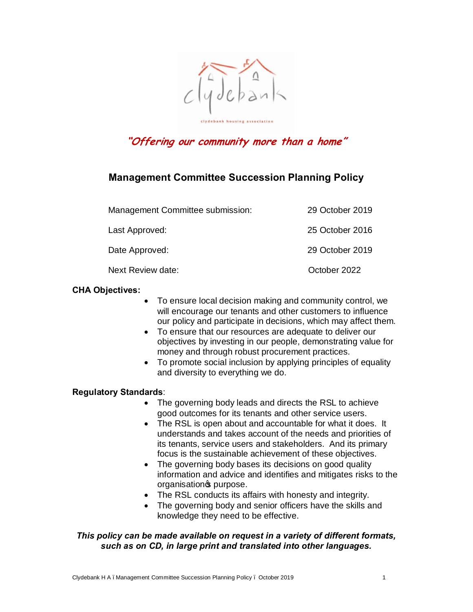

# **"Offering our community more than a home"**

# **Management Committee Succession Planning Policy**

| Management Committee submission: | 29 October 2019 |
|----------------------------------|-----------------|
| Last Approved:                   | 25 October 2016 |
| Date Approved:                   | 29 October 2019 |
| Next Review date:                | October 2022    |

# **CHA Objectives:**

- To ensure local decision making and community control, we will encourage our tenants and other customers to influence our policy and participate in decisions, which may affect them.
- · To ensure that our resources are adequate to deliver our objectives by investing in our people, demonstrating value for money and through robust procurement practices.
- · To promote social inclusion by applying principles of equality and diversity to everything we do.

# **Regulatory Standards**:

- The governing body leads and directs the RSL to achieve good outcomes for its tenants and other service users.
- The RSL is open about and accountable for what it does. It understands and takes account of the needs and priorities of its tenants, service users and stakeholders. And its primary focus is the sustainable achievement of these objectives.
- The governing body bases its decisions on good quality information and advice and identifies and mitigates risks to the organisation<sup>®</sup> purpose.
- · The RSL conducts its affairs with honesty and integrity.
- The governing body and senior officers have the skills and knowledge they need to be effective.

# *This policy can be made available on request in a variety of different formats, such as on CD, in large print and translated into other languages.*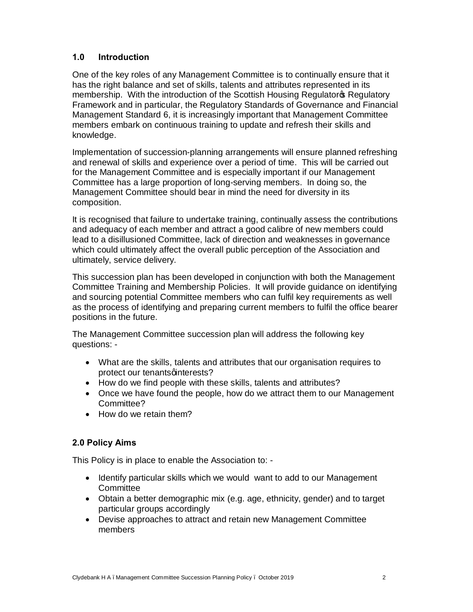# **1.0 Introduction**

One of the key roles of any Management Committee is to continually ensure that it has the right balance and set of skills, talents and attributes represented in its membership. With the introduction of the Scottish Housing Regulator Regulatory Framework and in particular, the Regulatory Standards of Governance and Financial Management Standard 6, it is increasingly important that Management Committee members embark on continuous training to update and refresh their skills and knowledge.

Implementation of succession-planning arrangements will ensure planned refreshing and renewal of skills and experience over a period of time. This will be carried out for the Management Committee and is especially important if our Management Committee has a large proportion of long-serving members. In doing so, the Management Committee should bear in mind the need for diversity in its composition.

It is recognised that failure to undertake training, continually assess the contributions and adequacy of each member and attract a good calibre of new members could lead to a disillusioned Committee, lack of direction and weaknesses in governance which could ultimately affect the overall public perception of the Association and ultimately, service delivery.

This succession plan has been developed in conjunction with both the Management Committee Training and Membership Policies. It will provide guidance on identifying and sourcing potential Committee members who can fulfil key requirements as well as the process of identifying and preparing current members to fulfil the office bearer positions in the future.

The Management Committee succession plan will address the following key questions: -

- · What are the skills, talents and attributes that our organisation requires to protect our tenants quinterests?
- · How do we find people with these skills, talents and attributes?
- · Once we have found the people, how do we attract them to our Management Committee?
- How do we retain them?

# **2.0 Policy Aims**

This Policy is in place to enable the Association to: -

- · Identify particular skills which we would want to add to our Management **Committee**
- · Obtain a better demographic mix (e.g. age, ethnicity, gender) and to target particular groups accordingly
- · Devise approaches to attract and retain new Management Committee members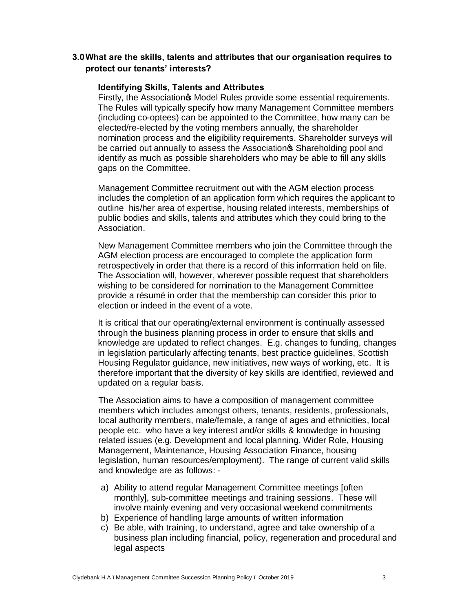# **3.0What are the skills, talents and attributes that our organisation requires to protect our tenants' interests?**

### **Identifying Skills, Talents and Attributes**

Firstly, the Association<sup>®</sup> Model Rules provide some essential requirements. The Rules will typically specify how many Management Committee members (including co-optees) can be appointed to the Committee, how many can be elected/re-elected by the voting members annually, the shareholder nomination process and the eligibility requirements. Shareholder surveys will be carried out annually to assess the Association<sup>®</sup> Shareholding pool and identify as much as possible shareholders who may be able to fill any skills gaps on the Committee.

Management Committee recruitment out with the AGM election process includes the completion of an application form which requires the applicant to outline his/her area of expertise, housing related interests, memberships of public bodies and skills, talents and attributes which they could bring to the Association.

New Management Committee members who join the Committee through the AGM election process are encouraged to complete the application form retrospectively in order that there is a record of this information held on file. The Association will, however, wherever possible request that shareholders wishing to be considered for nomination to the Management Committee provide a résumé in order that the membership can consider this prior to election or indeed in the event of a vote.

It is critical that our operating/external environment is continually assessed through the business planning process in order to ensure that skills and knowledge are updated to reflect changes. E.g. changes to funding, changes in legislation particularly affecting tenants, best practice guidelines, Scottish Housing Regulator guidance, new initiatives, new ways of working, etc. It is therefore important that the diversity of key skills are identified, reviewed and updated on a regular basis.

The Association aims to have a composition of management committee members which includes amongst others, tenants, residents, professionals, local authority members, male/female, a range of ages and ethnicities, local people etc. who have a key interest and/or skills & knowledge in housing related issues (e.g. Development and local planning, Wider Role, Housing Management, Maintenance, Housing Association Finance, housing legislation, human resources/employment). The range of current valid skills and knowledge are as follows: -

- a) Ability to attend regular Management Committee meetings [often monthly], sub-committee meetings and training sessions. These will involve mainly evening and very occasional weekend commitments
- b) Experience of handling large amounts of written information
- c) Be able, with training, to understand, agree and take ownership of a business plan including financial, policy, regeneration and procedural and legal aspects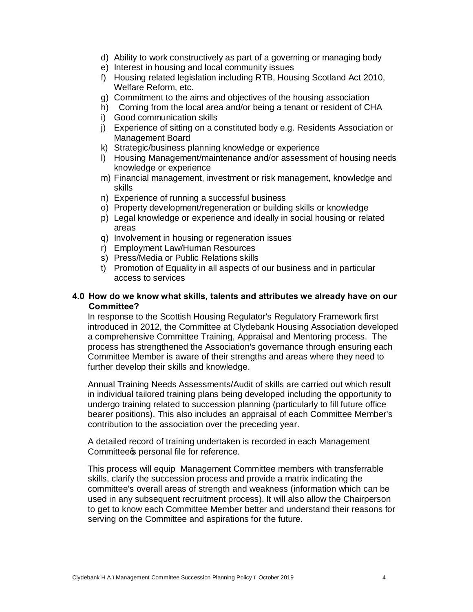- d) Ability to work constructively as part of a governing or managing body
- e) Interest in housing and local community issues
- f) Housing related legislation including RTB, Housing Scotland Act 2010, Welfare Reform, etc.
- g) Commitment to the aims and objectives of the housing association
- h) Coming from the local area and/or being a tenant or resident of CHA
- i) Good communication skills
- j) Experience of sitting on a constituted body e.g. Residents Association or Management Board
- k) Strategic/business planning knowledge or experience
- l) Housing Management/maintenance and/or assessment of housing needs knowledge or experience
- m) Financial management, investment or risk management, knowledge and skills
- n) Experience of running a successful business
- o) Property development/regeneration or building skills or knowledge
- p) Legal knowledge or experience and ideally in social housing or related areas
- q) Involvement in housing or regeneration issues
- r) Employment Law/Human Resources
- s) Press/Media or Public Relations skills
- t) Promotion of Equality in all aspects of our business and in particular access to services

### **4.0 How do we know what skills, talents and attributes we already have on our Committee?**

In response to the Scottish Housing Regulator's Regulatory Framework first introduced in 2012, the Committee at Clydebank Housing Association developed a comprehensive Committee Training, Appraisal and Mentoring process. The process has strengthened the Association's governance through ensuring each Committee Member is aware of their strengths and areas where they need to further develop their skills and knowledge.

Annual Training Needs Assessments/Audit of skills are carried out which result in individual tailored training plans being developed including the opportunity to undergo training related to succession planning (particularly to fill future office bearer positions). This also includes an appraisal of each Committee Member's contribution to the association over the preceding year.

A detailed record of training undertaken is recorded in each Management Committee personal file for reference.

This process will equip Management Committee members with transferrable skills, clarify the succession process and provide a matrix indicating the committee's overall areas of strength and weakness (information which can be used in any subsequent recruitment process). It will also allow the Chairperson to get to know each Committee Member better and understand their reasons for serving on the Committee and aspirations for the future.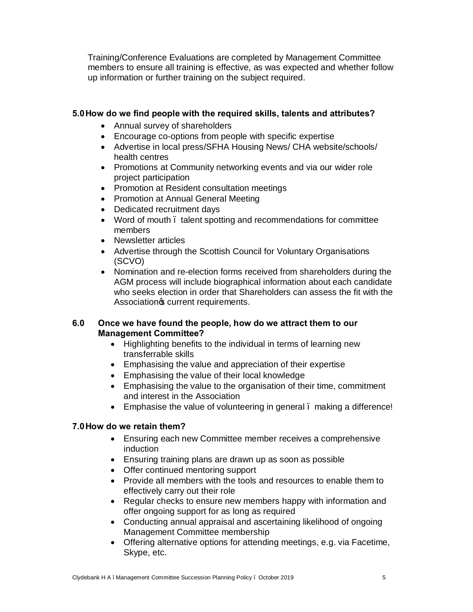Training/Conference Evaluations are completed by Management Committee members to ensure all training is effective, as was expected and whether follow up information or further training on the subject required.

# **5.0How do we find people with the required skills, talents and attributes?**

- · Annual survey of shareholders
- · Encourage co-options from people with specific expertise
- · Advertise in local press/SFHA Housing News/ CHA website/schools/ health centres
- · Promotions at Community networking events and via our wider role project participation
- · Promotion at Resident consultation meetings
- · Promotion at Annual General Meeting
- · Dedicated recruitment days
- Word of mouth . talent spotting and recommendations for committee members
- · Newsletter articles
- Advertise through the Scottish Council for Voluntary Organisations (SCVO)
- · Nomination and re-election forms received from shareholders during the AGM process will include biographical information about each candidate who seeks election in order that Shareholders can assess the fit with the Association<sup>®</sup> current requirements.

# **6.0 Once we have found the people, how do we attract them to our Management Committee?**

- · Highlighting benefits to the individual in terms of learning new transferrable skills
- · Emphasising the value and appreciation of their expertise
- · Emphasising the value of their local knowledge
- · Emphasising the value to the organisation of their time, commitment and interest in the Association
- Emphasise the value of volunteering in general . making a difference!

# **7.0How do we retain them?**

- · Ensuring each new Committee member receives a comprehensive induction
- Ensuring training plans are drawn up as soon as possible
- Offer continued mentoring support
- · Provide all members with the tools and resources to enable them to effectively carry out their role
- · Regular checks to ensure new members happy with information and offer ongoing support for as long as required
- Conducting annual appraisal and ascertaining likelihood of ongoing Management Committee membership
- · Offering alternative options for attending meetings, e.g. via Facetime, Skype, etc.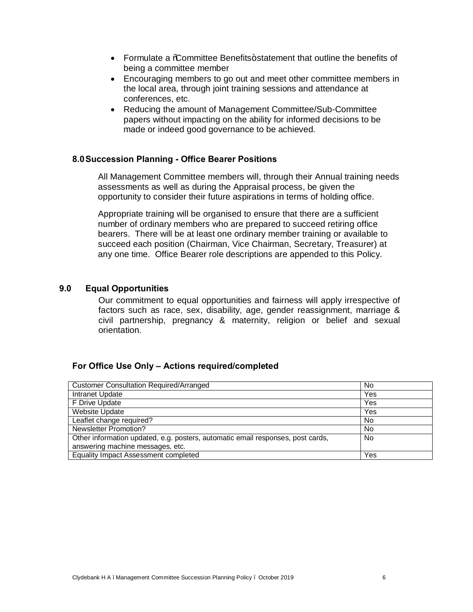- Formulate a %Committee Benefits+statement that outline the benefits of being a committee member
- · Encouraging members to go out and meet other committee members in the local area, through joint training sessions and attendance at conferences, etc.
- · Reducing the amount of Management Committee/Sub-Committee papers without impacting on the ability for informed decisions to be made or indeed good governance to be achieved.

### **8.0Succession Planning - Office Bearer Positions**

All Management Committee members will, through their Annual training needs assessments as well as during the Appraisal process, be given the opportunity to consider their future aspirations in terms of holding office.

Appropriate training will be organised to ensure that there are a sufficient number of ordinary members who are prepared to succeed retiring office bearers. There will be at least one ordinary member training or available to succeed each position (Chairman, Vice Chairman, Secretary, Treasurer) at any one time. Office Bearer role descriptions are appended to this Policy.

### **9.0 Equal Opportunities**

Our commitment to equal opportunities and fairness will apply irrespective of factors such as race, sex, disability, age, gender reassignment, marriage & civil partnership, pregnancy & maternity, religion or belief and sexual orientation.

### **For Office Use Only – Actions required/completed**

| <b>Customer Consultation Required/Arranged</b>                                  | No  |
|---------------------------------------------------------------------------------|-----|
| Intranet Update                                                                 | Yes |
| F Drive Update                                                                  | Yes |
| <b>Website Update</b>                                                           | Yes |
| Leaflet change required?                                                        | No  |
| <b>Newsletter Promotion?</b>                                                    | No  |
| Other information updated, e.g. posters, automatic email responses, post cards, | No  |
| answering machine messages, etc.                                                |     |
| Equality Impact Assessment completed                                            | Yes |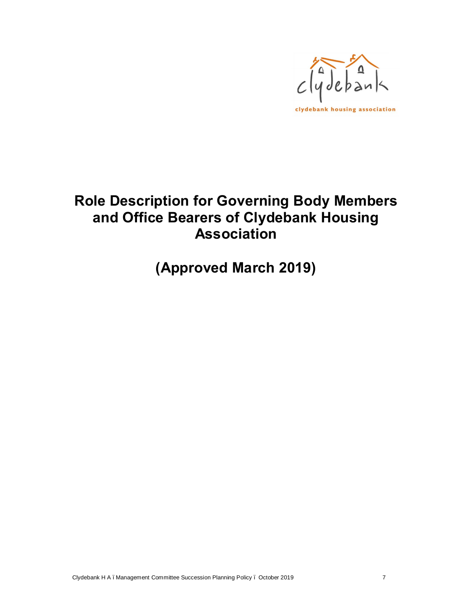

# **Role Description for Governing Body Members and Office Bearers of Clydebank Housing Association**

**(Approved March 2019)**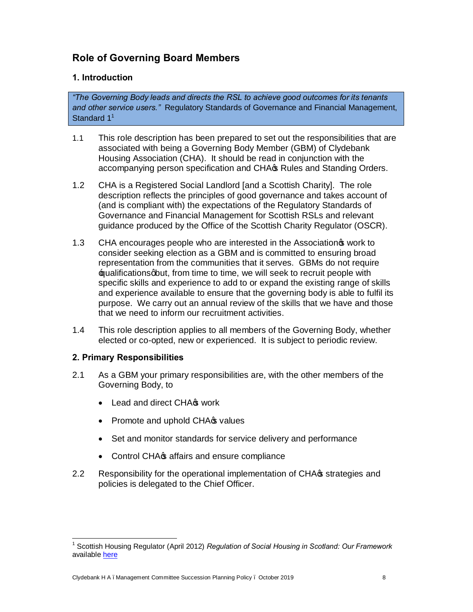# **Role of Governing Board Members**

# **1. Introduction**

*"The Governing Body leads and directs the RSL to achieve good outcomes for its tenants and other service users."* Regulatory Standards of Governance and Financial Management, Standard  $1<sup>1</sup>$ 

- 1.1 This role description has been prepared to set out the responsibilities that are associated with being a Governing Body Member (GBM) of Clydebank Housing Association (CHA). It should be read in conjunction with the accompanying person specification and CHA $\sigma$  Rules and Standing Orders.
- 1.2 CHA is a Registered Social Landlord [and a Scottish Charity]. The role description reflects the principles of good governance and takes account of (and is compliant with) the expectations of the Regulatory Standards of Governance and Financial Management for Scottish RSLs and relevant guidance produced by the Office of the Scottish Charity Regulator (OSCR).
- 1.3 CHA encourages people who are interested in the Association work to consider seeking election as a GBM and is committed to ensuring broad representation from the communities that it serves. GBMs do not require  $\pm$  pualifications oput, from time to time, we will seek to recruit people with specific skills and experience to add to or expand the existing range of skills and experience available to ensure that the governing body is able to fulfil its purpose. We carry out an annual review of the skills that we have and those that we need to inform our recruitment activities.
- 1.4 This role description applies to all members of the Governing Body, whether elected or co-opted, new or experienced. It is subject to periodic review.

# **2. Primary Responsibilities**

- 2.1 As a GBM your primary responsibilities are, with the other members of the Governing Body, to
	- Lead and direct CHA<sub>S</sub> work
	- Promote and uphold CHA $\circ$  values
	- Set and monitor standards for service delivery and performance
	- Control CHA $\circ$  affairs and ensure compliance
- 2.2 Responsibility for the operational implementation of CHA $\sigma$  strategies and policies is delegated to the Chief Officer.

<sup>1</sup> Scottish Housing Regulator (April 2012) *Regulation of Social Housing in Scotland: Our Framework* available here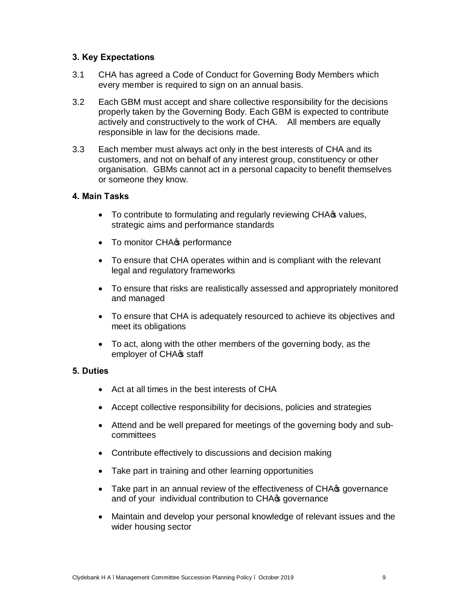# **3. Key Expectations**

- 3.1 CHA has agreed a Code of Conduct for Governing Body Members which every member is required to sign on an annual basis.
- 3.2 Each GBM must accept and share collective responsibility for the decisions properly taken by the Governing Body. Each GBM is expected to contribute actively and constructively to the work of CHA. All members are equally responsible in law for the decisions made.
- 3.3 Each member must always act only in the best interests of CHA and its customers, and not on behalf of any interest group, constituency or other organisation. GBMs cannot act in a personal capacity to benefit themselves or someone they know.

### **4. Main Tasks**

- To contribute to formulating and regularly reviewing CHA $\sigma$  values, strategic aims and performance standards
- To monitor CHA<sup>s</sup> performance
- · To ensure that CHA operates within and is compliant with the relevant legal and regulatory frameworks
- · To ensure that risks are realistically assessed and appropriately monitored and managed
- · To ensure that CHA is adequately resourced to achieve its objectives and meet its obligations
- · To act, along with the other members of the governing body, as the employer of CHA<sup>s</sup> staff

# **5. Duties**

- · Act at all times in the best interests of CHA
- · Accept collective responsibility for decisions, policies and strategies
- · Attend and be well prepared for meetings of the governing body and subcommittees
- Contribute effectively to discussions and decision making
- · Take part in training and other learning opportunities
- Take part in an annual review of the effectiveness of CHA $\sigma$  governance and of your individual contribution to CHA<sup>s</sup> governance
- · Maintain and develop your personal knowledge of relevant issues and the wider housing sector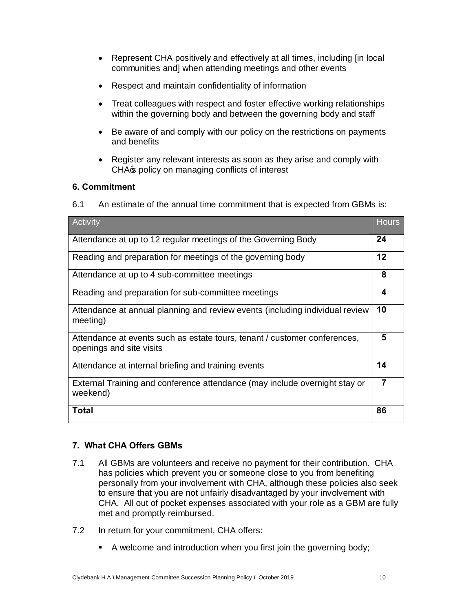- · Represent CHA positively and effectively at all times, including [in local communities and] when attending meetings and other events
- · Respect and maintain confidentiality of information
- · Treat colleagues with respect and foster effective working relationships within the governing body and between the governing body and staff
- · Be aware of and comply with our policy on the restrictions on payments and benefits
- · Register any relevant interests as soon as they arise and comply with CHA<sup> $\phi$ </sup> policy on managing conflicts of interest

# **6. Commitment**

6.1 An estimate of the annual time commitment that is expected from GBMs is:

| Activity                                                                                              | <b>Hours</b>   |
|-------------------------------------------------------------------------------------------------------|----------------|
| Attendance at up to 12 regular meetings of the Governing Body                                         |                |
| Reading and preparation for meetings of the governing body                                            |                |
| Attendance at up to 4 sub-committee meetings                                                          |                |
| Reading and preparation for sub-committee meetings                                                    |                |
| Attendance at annual planning and review events (including individual review<br>meeting)              |                |
| Attendance at events such as estate tours, tenant / customer conferences,<br>openings and site visits |                |
| Attendance at internal briefing and training events                                                   |                |
| External Training and conference attendance (may include overnight stay or<br>weekend)                | $\overline{7}$ |
| <b>Total</b>                                                                                          | 86             |

# **7. What CHA Offers GBMs**

- 7.1 All GBMs are volunteers and receive no payment for their contribution. CHA has policies which prevent you or someone close to you from benefiting personally from your involvement with CHA, although these policies also seek to ensure that you are not unfairly disadvantaged by your involvement with CHA. All out of pocket expenses associated with your role as a GBM are fully met and promptly reimbursed.
- 7.2 In return for your commitment, CHA offers:
	- A welcome and introduction when you first join the governing body;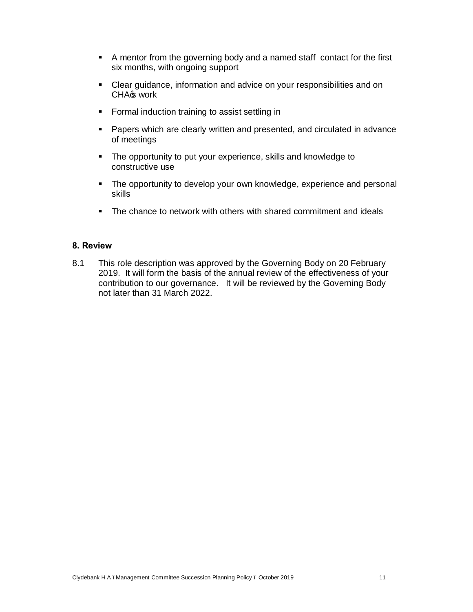- A mentor from the governing body and a named staff contact for the first six months, with ongoing support
- Clear guidance, information and advice on your responsibilities and on CHA<sup>s</sup> work
- **Formal induction training to assist settling in**
- **•** Papers which are clearly written and presented, and circulated in advance of meetings
- The opportunity to put your experience, skills and knowledge to constructive use
- The opportunity to develop your own knowledge, experience and personal skills
- The chance to network with others with shared commitment and ideals

### **8. Review**

8.1 This role description was approved by the Governing Body on 20 February 2019. It will form the basis of the annual review of the effectiveness of your contribution to our governance. It will be reviewed by the Governing Body not later than 31 March 2022.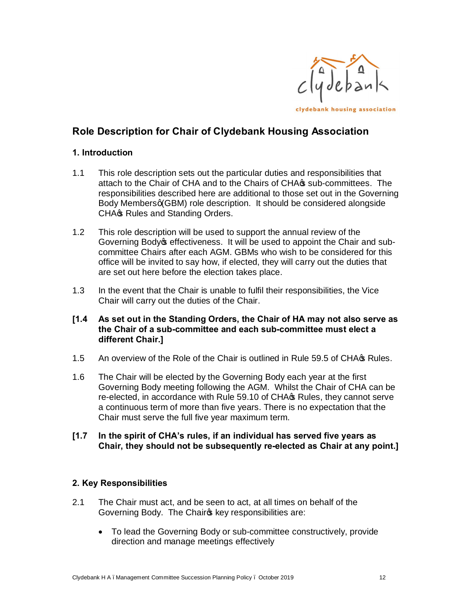

# **Role Description for Chair of Clydebank Housing Association**

# **1. Introduction**

- 1.1 This role description sets out the particular duties and responsibilities that attach to the Chair of CHA and to the Chairs of CHA $\alpha$  sub-committees. The responsibilities described here are additional to those set out in the Governing Body Membersq (GBM) role description. It should be considered alongside CHA<sup>®</sup> Rules and Standing Orders.
- 1.2 This role description will be used to support the annual review of the Governing Body os effectiveness. It will be used to appoint the Chair and subcommittee Chairs after each AGM. GBMs who wish to be considered for this office will be invited to say how, if elected, they will carry out the duties that are set out here before the election takes place.
- 1.3 In the event that the Chair is unable to fulfil their responsibilities, the Vice Chair will carry out the duties of the Chair.
- **[1.4 As set out in the Standing Orders, the Chair of HA may not also serve as the Chair of a sub-committee and each sub-committee must elect a different Chair.]**
- 1.5 An overview of the Role of the Chair is outlined in Rule 59.5 of CHA $\sigma$  Rules.
- 1.6 The Chair will be elected by the Governing Body each year at the first Governing Body meeting following the AGM. Whilst the Chair of CHA can be re-elected, in accordance with Rule 59.10 of CHA $\sigma$  Rules, they cannot serve a continuous term of more than five years. There is no expectation that the Chair must serve the full five year maximum term.

### **[1.7 In the spirit of CHA's rules, if an individual has served five years as Chair, they should not be subsequently re-elected as Chair at any point.]**

# **2. Key Responsibilities**

- 2.1 The Chair must act, and be seen to act, at all times on behalf of the Governing Body. The Chairos key responsibilities are:
	- · To lead the Governing Body or sub-committee constructively, provide direction and manage meetings effectively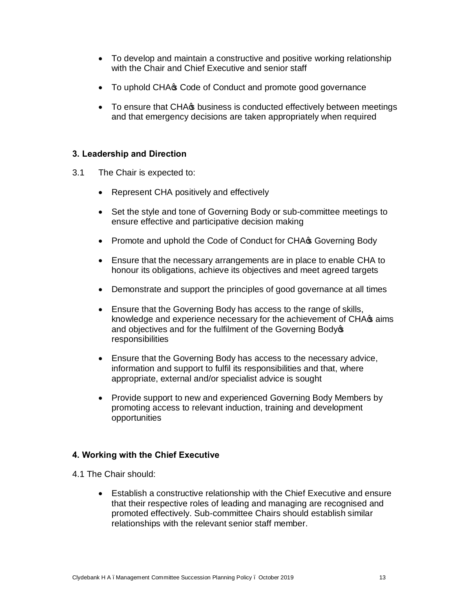- · To develop and maintain a constructive and positive working relationship with the Chair and Chief Executive and senior staff
- To uphold CHA  $\circ$  Code of Conduct and promote good governance
- To ensure that CHA $\sigma$  business is conducted effectively between meetings and that emergency decisions are taken appropriately when required

# **3. Leadership and Direction**

- 3.1 The Chair is expected to:
	- · Represent CHA positively and effectively
	- · Set the style and tone of Governing Body or sub-committee meetings to ensure effective and participative decision making
	- Promote and uphold the Code of Conduct for CHA<sub>S</sub> Governing Body
	- · Ensure that the necessary arrangements are in place to enable CHA to honour its obligations, achieve its objectives and meet agreed targets
	- · Demonstrate and support the principles of good governance at all times
	- Ensure that the Governing Body has access to the range of skills, knowledge and experience necessary for the achievement of CHA $\sigma$  aims and objectives and for the fulfilment of the Governing Body<sup>s</sup> responsibilities
	- · Ensure that the Governing Body has access to the necessary advice, information and support to fulfil its responsibilities and that, where appropriate, external and/or specialist advice is sought
	- · Provide support to new and experienced Governing Body Members by promoting access to relevant induction, training and development opportunities

# **4. Working with the Chief Executive**

- 4.1 The Chair should:
	- · Establish a constructive relationship with the Chief Executive and ensure that their respective roles of leading and managing are recognised and promoted effectively. Sub-committee Chairs should establish similar relationships with the relevant senior staff member.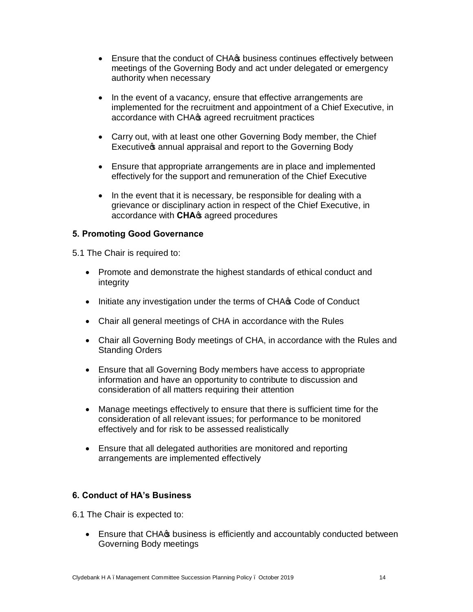- Ensure that the conduct of CHA $\circ$  business continues effectively between meetings of the Governing Body and act under delegated or emergency authority when necessary
- In the event of a vacancy, ensure that effective arrangements are implemented for the recruitment and appointment of a Chief Executive, in accordance with CHA $\sigma$  agreed recruitment practices
- · Carry out, with at least one other Governing Body member, the Chief Executive annual appraisal and report to the Governing Body
- · Ensure that appropriate arrangements are in place and implemented effectively for the support and remuneration of the Chief Executive
- In the event that it is necessary, be responsible for dealing with a grievance or disciplinary action in respect of the Chief Executive, in accordance with **CHA**<sub>\$</sub> agreed procedures

# **5. Promoting Good Governance**

5.1 The Chair is required to:

- · Promote and demonstrate the highest standards of ethical conduct and integrity
- Initiate any investigation under the terms of CHA $\infty$  Code of Conduct
- · Chair all general meetings of CHA in accordance with the Rules
- Chair all Governing Body meetings of CHA, in accordance with the Rules and Standing Orders
- · Ensure that all Governing Body members have access to appropriate information and have an opportunity to contribute to discussion and consideration of all matters requiring their attention
- · Manage meetings effectively to ensure that there is sufficient time for the consideration of all relevant issues; for performance to be monitored effectively and for risk to be assessed realistically
- · Ensure that all delegated authorities are monitored and reporting arrangements are implemented effectively

# **6. Conduct of HA's Business**

6.1 The Chair is expected to:

• Ensure that CHA $\circ$  business is efficiently and accountably conducted between Governing Body meetings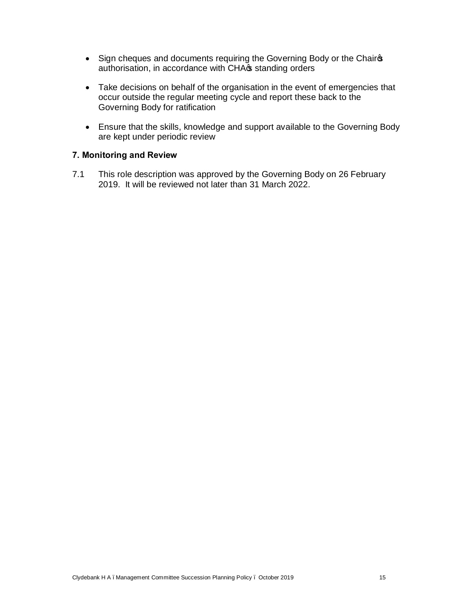- Sign cheques and documents requiring the Governing Body or the Chairos authorisation, in accordance with CHA $\sigma$  standing orders
- · Take decisions on behalf of the organisation in the event of emergencies that occur outside the regular meeting cycle and report these back to the Governing Body for ratification
- · Ensure that the skills, knowledge and support available to the Governing Body are kept under periodic review

# **7. Monitoring and Review**

7.1 This role description was approved by the Governing Body on 26 February 2019. It will be reviewed not later than 31 March 2022.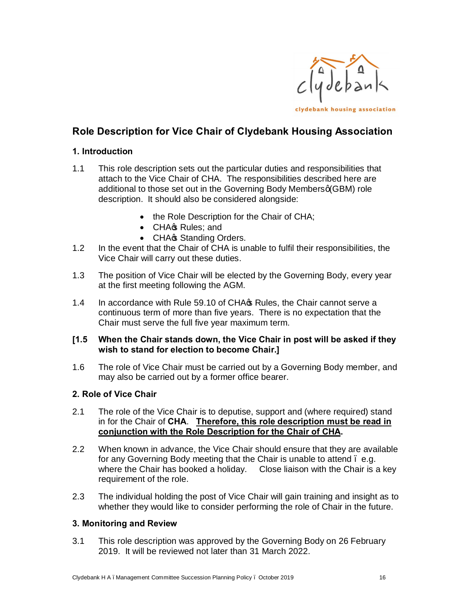

# **Role Description for Vice Chair of Clydebank Housing Association**

# **1. Introduction**

- 1.1 This role description sets out the particular duties and responsibilities that attach to the Vice Chair of CHA. The responsibilities described here are additional to those set out in the Governing Body Membersq (GBM) role description. It should also be considered alongside:
	- the Role Description for the Chair of CHA;
	- CHAG Rules; and
	- CHA<sup>s</sup> Standing Orders.
- 1.2 In the event that the Chair of CHA is unable to fulfil their responsibilities, the Vice Chair will carry out these duties.
- 1.3 The position of Vice Chair will be elected by the Governing Body, every year at the first meeting following the AGM.
- 1.4 In accordance with Rule 59.10 of CHA<sub>C</sub> Rules, the Chair cannot serve a continuous term of more than five years. There is no expectation that the Chair must serve the full five year maximum term.

# **[1.5 When the Chair stands down, the Vice Chair in post will be asked if they wish to stand for election to become Chair.]**

1.6 The role of Vice Chair must be carried out by a Governing Body member, and may also be carried out by a former office bearer.

# **2. Role of Vice Chair**

- 2.1 The role of the Vice Chair is to deputise, support and (where required) stand in for the Chair of **CHA**. **Therefore, this role description must be read in conjunction with the Role Description for the Chair of CHA.**
- 2.2 When known in advance, the Vice Chair should ensure that they are available for any Governing Body meeting that the Chair is unable to attend – e.g. where the Chair has booked a holiday. Close liaison with the Chair is a key requirement of the role.
- 2.3 The individual holding the post of Vice Chair will gain training and insight as to whether they would like to consider performing the role of Chair in the future.

# **3. Monitoring and Review**

3.1 This role description was approved by the Governing Body on 26 February 2019. It will be reviewed not later than 31 March 2022.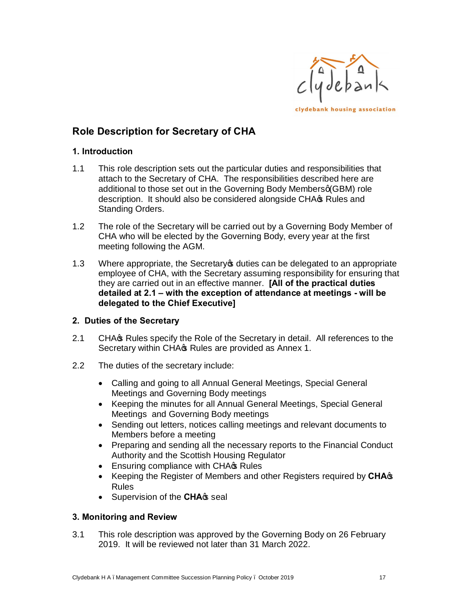

# **Role Description for Secretary of CHA**

# **1. Introduction**

- 1.1 This role description sets out the particular duties and responsibilities that attach to the Secretary of CHA. The responsibilities described here are additional to those set out in the Governing Body Membersq(GBM) role description. It should also be considered alongside CHA $\sigma$  Rules and Standing Orders.
- 1.2 The role of the Secretary will be carried out by a Governing Body Member of CHA who will be elected by the Governing Body, every year at the first meeting following the AGM.
- 1.3 Where appropriate, the Secretary optities can be delegated to an appropriate employee of CHA, with the Secretary assuming responsibility for ensuring that they are carried out in an effective manner. **[All of the practical duties detailed at 2.1 – with the exception of attendance at meetings - will be delegated to the Chief Executive]**

# **2. Duties of the Secretary**

- 2.1 CHA<sub>G</sub> Rules specify the Role of the Secretary in detail. All references to the Secretary within CHA $\sigma$  Rules are provided as Annex 1.
- 2.2 The duties of the secretary include:
	- · Calling and going to all Annual General Meetings, Special General Meetings and Governing Body meetings
	- · Keeping the minutes for all Annual General Meetings, Special General Meetings and Governing Body meetings
	- · Sending out letters, notices calling meetings and relevant documents to Members before a meeting
	- · Preparing and sending all the necessary reports to the Financial Conduct Authority and the Scottish Housing Regulator
	- Ensuring compliance with CHA $\circ$  Rules
	- Keeping the Register of Members and other Registers required by **CHA**<sup>\$</sup> Rules
	- Supervision of the **CHA**<sup>\$</sup> seal

# **3. Monitoring and Review**

3.1 This role description was approved by the Governing Body on 26 February 2019. It will be reviewed not later than 31 March 2022.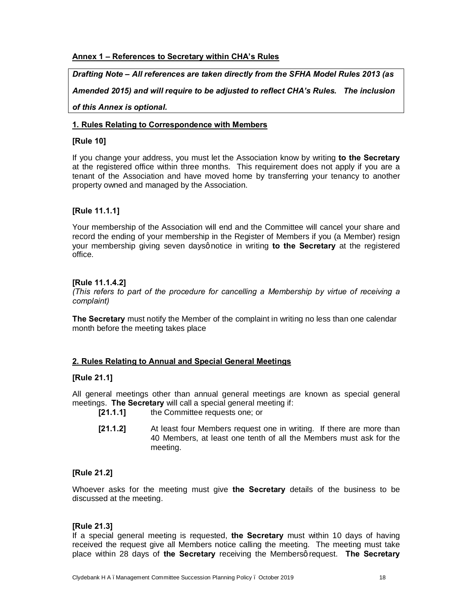### **Annex 1 – References to Secretary within CHA's Rules**

### *Drafting Note – All references are taken directly from the SFHA Model Rules 2013 (as*

*Amended 2015) and will require to be adjusted to reflect CHA's Rules. The inclusion* 

### *of this Annex is optional.*

### **1. Rules Relating to Correspondence with Members**

### **[Rule 10]**

If you change your address, you must let the Association know by writing **to the Secretary** at the registered office within three months. This requirement does not apply if you are a tenant of the Association and have moved home by transferring your tenancy to another property owned and managed by the Association.

### **[Rule 11.1.1]**

Your membership of the Association will end and the Committee will cancel your share and record the ending of your membership in the Register of Members if you (a Member) resign your membership giving seven daysgnotice in writing **to the Secretary** at the registered office.

### **[Rule 11.1.4.2]**

*(This refers to part of the procedure for cancelling a Membership by virtue of receiving a complaint)*

**The Secretary** must notify the Member of the complaint in writing no less than one calendar month before the meeting takes place

### **2. Rules Relating to Annual and Special General Meetings**

### **[Rule 21.1]**

All general meetings other than annual general meetings are known as special general meetings. **The Secretary** will call a special general meeting if:

- **[21.1.1]** the Committee requests one; or
- **[21.1.2]** At least four Members request one in writing. If there are more than 40 Members, at least one tenth of all the Members must ask for the meeting.

### **[Rule 21.2]**

Whoever asks for the meeting must give **the Secretary** details of the business to be discussed at the meeting.

### **[Rule 21.3]**

If a special general meeting is requested, **the Secretary** must within 10 days of having received the request give all Members notice calling the meeting. The meeting must take place within 28 days of the Secretary receiving the Membersg request. The Secretary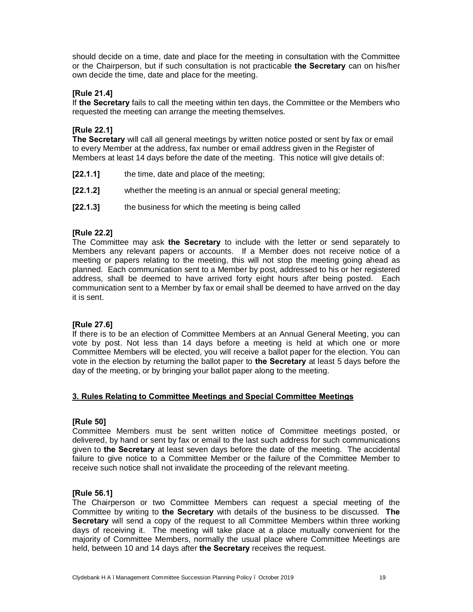should decide on a time, date and place for the meeting in consultation with the Committee or the Chairperson, but if such consultation is not practicable **the Secretary** can on his/her own decide the time, date and place for the meeting.

### **[Rule 21.4]**

If **the Secretary** fails to call the meeting within ten days, the Committee or the Members who requested the meeting can arrange the meeting themselves.

### **[Rule 22.1]**

**The Secretary** will call all general meetings by written notice posted or sent by fax or email to every Member at the address, fax number or email address given in the Register of Members at least 14 days before the date of the meeting. This notice will give details of:

- **[22.1.1]** the time, date and place of the meeting;
- **[22.1.2]** whether the meeting is an annual or special general meeting;
- **[22.1.3]** the business for which the meeting is being called

### **[Rule 22.2]**

The Committee may ask **the Secretary** to include with the letter or send separately to Members any relevant papers or accounts. If a Member does not receive notice of a meeting or papers relating to the meeting, this will not stop the meeting going ahead as planned. Each communication sent to a Member by post, addressed to his or her registered address, shall be deemed to have arrived forty eight hours after being posted. Each communication sent to a Member by fax or email shall be deemed to have arrived on the day it is sent.

### **[Rule 27.6]**

If there is to be an election of Committee Members at an Annual General Meeting, you can vote by post. Not less than 14 days before a meeting is held at which one or more Committee Members will be elected, you will receive a ballot paper for the election. You can vote in the election by returning the ballot paper to **the Secretary** at least 5 days before the day of the meeting, or by bringing your ballot paper along to the meeting.

#### **3. Rules Relating to Committee Meetings and Special Committee Meetings**

#### **[Rule 50]**

Committee Members must be sent written notice of Committee meetings posted, or delivered, by hand or sent by fax or email to the last such address for such communications given to **the Secretary** at least seven days before the date of the meeting. The accidental failure to give notice to a Committee Member or the failure of the Committee Member to receive such notice shall not invalidate the proceeding of the relevant meeting.

#### **[Rule 56.1]**

The Chairperson or two Committee Members can request a special meeting of the Committee by writing to **the Secretary** with details of the business to be discussed. **The Secretary** will send a copy of the request to all Committee Members within three working days of receiving it. The meeting will take place at a place mutually convenient for the majority of Committee Members, normally the usual place where Committee Meetings are held, between 10 and 14 days after **the Secretary** receives the request.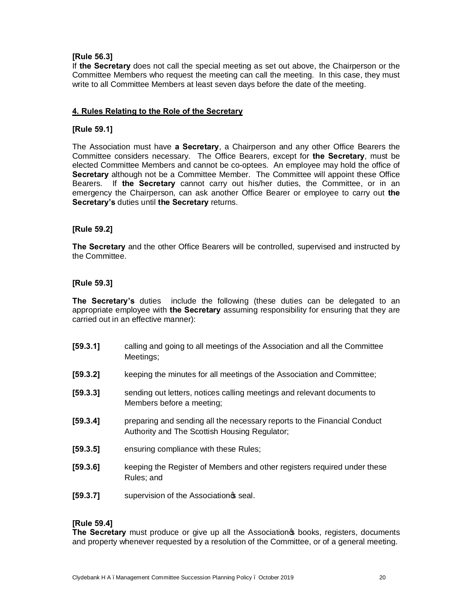### **[Rule 56.3]**

If **the Secretary** does not call the special meeting as set out above, the Chairperson or the Committee Members who request the meeting can call the meeting. In this case, they must write to all Committee Members at least seven days before the date of the meeting.

### **4. Rules Relating to the Role of the Secretary**

### **[Rule 59.1]**

The Association must have **a Secretary**, a Chairperson and any other Office Bearers the Committee considers necessary. The Office Bearers, except for **the Secretary**, must be elected Committee Members and cannot be co-optees. An employee may hold the office of **Secretary** although not be a Committee Member. The Committee will appoint these Office Bearers. If **the Secretary** cannot carry out his/her duties, the Committee, or in an emergency the Chairperson, can ask another Office Bearer or employee to carry out **the Secretary's** duties until **the Secretary** returns.

### **[Rule 59.2]**

**The Secretary** and the other Office Bearers will be controlled, supervised and instructed by the Committee.

### **[Rule 59.3]**

**The Secretary's** duties include the following (these duties can be delegated to an appropriate employee with **the Secretary** assuming responsibility for ensuring that they are carried out in an effective manner):

- **[59.3.1]** calling and going to all meetings of the Association and all the Committee Meetings;
- **[59.3.2]** keeping the minutes for all meetings of the Association and Committee;
- **[59.3.3]** sending out letters, notices calling meetings and relevant documents to Members before a meeting;
- **[59.3.4]** preparing and sending all the necessary reports to the Financial Conduct Authority and The Scottish Housing Regulator;
- **[59.3.5]** ensuring compliance with these Rules;
- **[59.3.6]** keeping the Register of Members and other registers required under these Rules; and
- **[59.3.7]** supervision of the Association **s** seal.

#### **[Rule 59.4]**

**The Secretary** must produce or give up all the Association to books, registers, documents and property whenever requested by a resolution of the Committee, or of a general meeting.